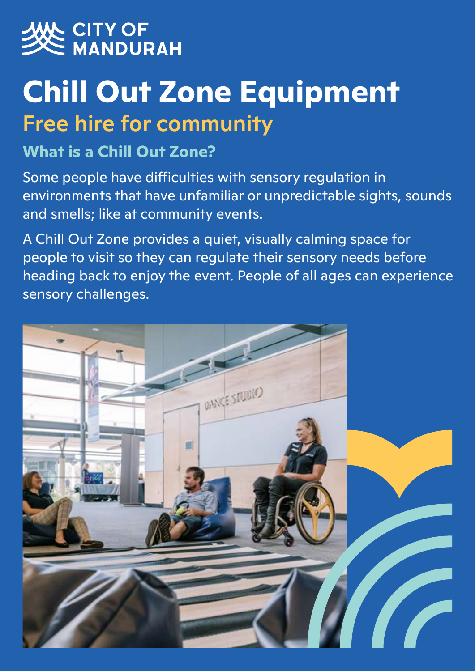

# **Chill Out Zone Equipment** Free hire for community

## **What is a Chill Out Zone?**

Some people have difficulties with sensory regulation in environments that have unfamiliar or unpredictable sights, sounds and smells; like at community events.

A Chill Out Zone provides a quiet, visually calming space for people to visit so they can regulate their sensory needs before heading back to enjoy the event. People of all ages can experience sensory challenges.